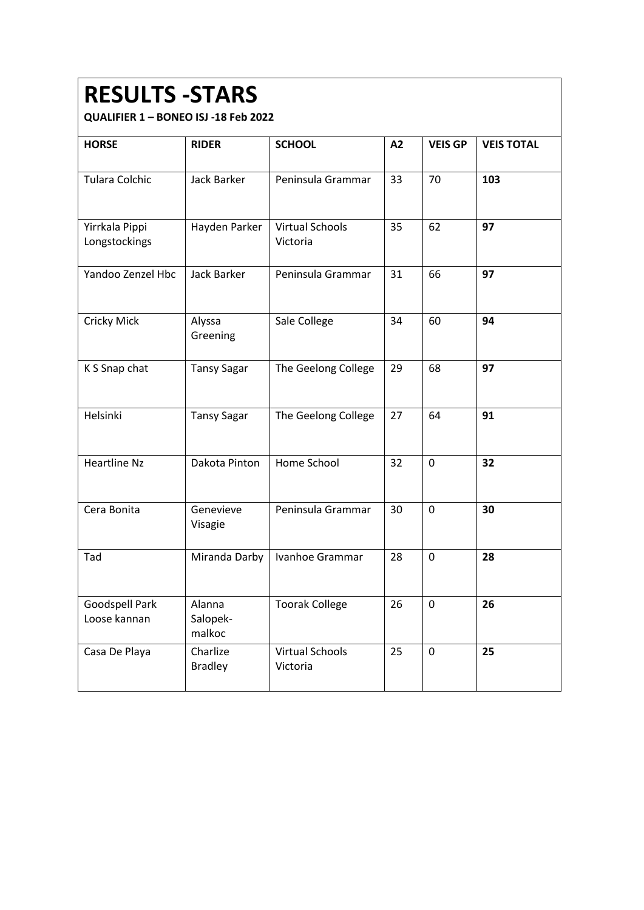#### **RESULTS -STARS**

| <b>HORSE</b>                    | <b>RIDER</b>                 | <b>SCHOOL</b>                      | A2 | <b>VEIS GP</b> | <b>VEIS TOTAL</b> |
|---------------------------------|------------------------------|------------------------------------|----|----------------|-------------------|
| <b>Tulara Colchic</b>           | <b>Jack Barker</b>           | Peninsula Grammar                  | 33 | 70             | 103               |
| Yirrkala Pippi<br>Longstockings | Hayden Parker                | <b>Virtual Schools</b><br>Victoria | 35 | 62             | 97                |
| Yandoo Zenzel Hbc               | <b>Jack Barker</b>           | Peninsula Grammar                  | 31 | 66             | 97                |
| <b>Cricky Mick</b>              | Alyssa<br>Greening           | Sale College                       | 34 | 60             | 94                |
| K S Snap chat                   | <b>Tansy Sagar</b>           | The Geelong College                | 29 | 68             | 97                |
| Helsinki                        | <b>Tansy Sagar</b>           | The Geelong College                | 27 | 64             | 91                |
| <b>Heartline Nz</b>             | Dakota Pinton                | Home School                        | 32 | $\mathbf 0$    | 32                |
| Cera Bonita                     | Genevieve<br>Visagie         | Peninsula Grammar                  | 30 | $\mathbf 0$    | 30                |
| Tad                             | Miranda Darby                | Ivanhoe Grammar                    | 28 | $\overline{0}$ | 28                |
| Goodspell Park<br>Loose kannan  | Alanna<br>Salopek-<br>malkoc | <b>Toorak College</b>              | 26 | $\mathbf 0$    | 26                |
| Casa De Playa                   | Charlize<br><b>Bradley</b>   | <b>Virtual Schools</b><br>Victoria | 25 | $\mathbf 0$    | 25                |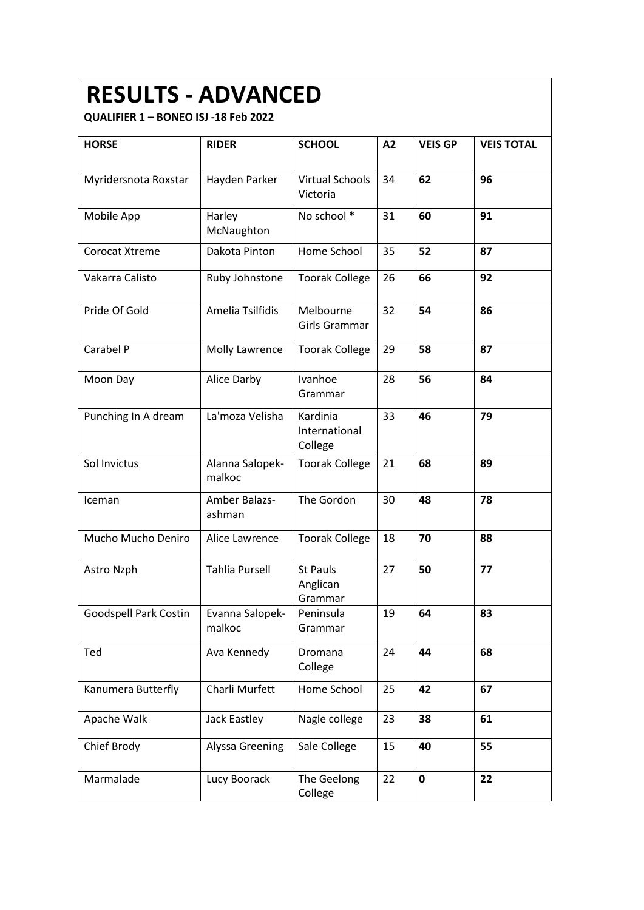### **RESULTS - ADVANCED**

| <b>HORSE</b>          | <b>RIDER</b>              | <b>SCHOOL</b>                          | A2 | <b>VEIS GP</b> | <b>VEIS TOTAL</b> |
|-----------------------|---------------------------|----------------------------------------|----|----------------|-------------------|
| Myridersnota Roxstar  | Hayden Parker             | Virtual Schools<br>Victoria            | 34 | 62             | 96                |
| Mobile App            | Harley<br>McNaughton      | No school *                            | 31 | 60             | 91                |
| Corocat Xtreme        | Dakota Pinton             | Home School                            | 35 | 52             | 87                |
| Vakarra Calisto       | Ruby Johnstone            | <b>Toorak College</b>                  | 26 | 66             | 92                |
| Pride Of Gold         | Amelia Tsilfidis          | Melbourne<br>Girls Grammar             | 32 | 54             | 86                |
| Carabel P             | Molly Lawrence            | <b>Toorak College</b>                  | 29 | 58             | 87                |
| Moon Day              | Alice Darby               | Ivanhoe<br>Grammar                     | 28 | 56             | 84                |
| Punching In A dream   | La'moza Velisha           | Kardinia<br>International<br>College   | 33 | 46             | 79                |
| Sol Invictus          | Alanna Salopek-<br>malkoc | <b>Toorak College</b>                  | 21 | 68             | 89                |
| Iceman                | Amber Balazs-<br>ashman   | The Gordon                             | 30 | 48             | 78                |
| Mucho Mucho Deniro    | Alice Lawrence            | <b>Toorak College</b>                  | 18 | 70             | 88                |
| Astro Nzph            | <b>Tahlia Pursell</b>     | <b>St Pauls</b><br>Anglican<br>Grammar | 27 | 50             | 77                |
| Goodspell Park Costin | Evanna Salopek-<br>malkoc | Peninsula<br>Grammar                   | 19 | 64             | 83                |
| Ted                   | Ava Kennedy               | Dromana<br>College                     | 24 | 44             | 68                |
| Kanumera Butterfly    | Charli Murfett            | Home School                            | 25 | 42             | 67                |
| Apache Walk           | Jack Eastley              | Nagle college                          | 23 | 38             | 61                |
| Chief Brody           | <b>Alyssa Greening</b>    | Sale College                           | 15 | 40             | 55                |
| Marmalade             | Lucy Boorack              | The Geelong<br>College                 | 22 | $\mathbf 0$    | 22                |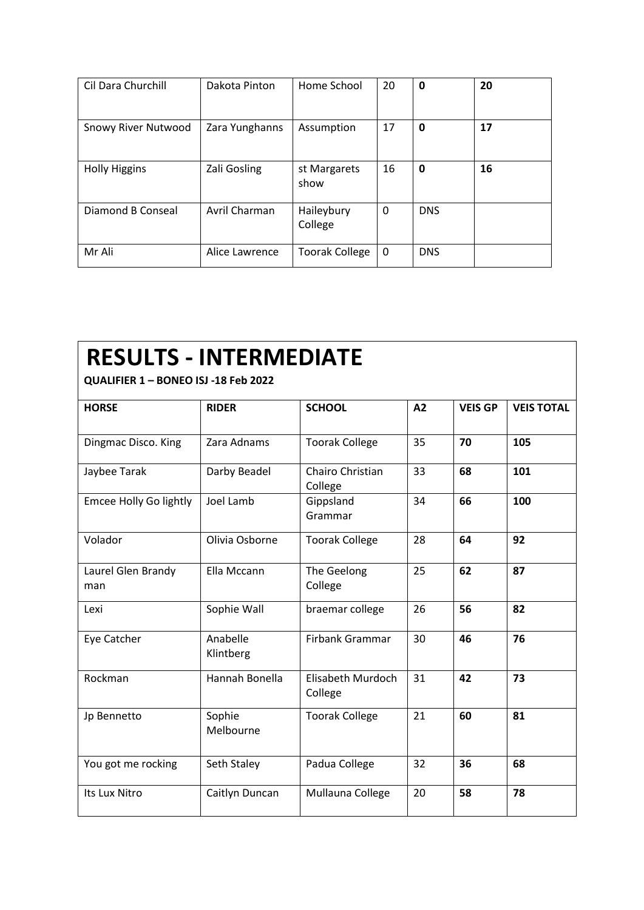| Cil Dara Churchill         | Dakota Pinton  | Home School           | 20 | 0          | 20 |
|----------------------------|----------------|-----------------------|----|------------|----|
| <b>Snowy River Nutwood</b> | Zara Yunghanns | Assumption            | 17 | 0          | 17 |
| <b>Holly Higgins</b>       | Zali Gosling   | st Margarets<br>show  | 16 | 0          | 16 |
| Diamond B Conseal          | Avril Charman  | Haileybury<br>College | 0  | <b>DNS</b> |    |
| Mr Ali                     | Alice Lawrence | <b>Toorak College</b> | 0  | <b>DNS</b> |    |

### **RESULTS - INTERMEDIATE**

| <b>HORSE</b>              | <b>RIDER</b>          | <b>SCHOOL</b>                | A2 | <b>VEIS GP</b> | <b>VEIS TOTAL</b> |
|---------------------------|-----------------------|------------------------------|----|----------------|-------------------|
| Dingmac Disco. King       | Zara Adnams           | <b>Toorak College</b>        | 35 | 70             | 105               |
| Jaybee Tarak              | Darby Beadel          | Chairo Christian<br>College  | 33 | 68             | 101               |
| Emcee Holly Go lightly    | Joel Lamb             | Gippsland<br>Grammar         | 34 | 66             | 100               |
| Volador                   | Olivia Osborne        | <b>Toorak College</b>        | 28 | 64             | 92                |
| Laurel Glen Brandy<br>man | Ella Mccann           | The Geelong<br>College       | 25 | 62             | 87                |
| Lexi                      | Sophie Wall           | braemar college              | 26 | 56             | 82                |
| Eye Catcher               | Anabelle<br>Klintberg | Firbank Grammar              | 30 | 46             | 76                |
| Rockman                   | Hannah Bonella        | Elisabeth Murdoch<br>College | 31 | 42             | 73                |
| Jp Bennetto               | Sophie<br>Melbourne   | <b>Toorak College</b>        | 21 | 60             | 81                |
| You got me rocking        | Seth Staley           | Padua College                | 32 | 36             | 68                |
| Its Lux Nitro             | Caitlyn Duncan        | Mullauna College             | 20 | 58             | 78                |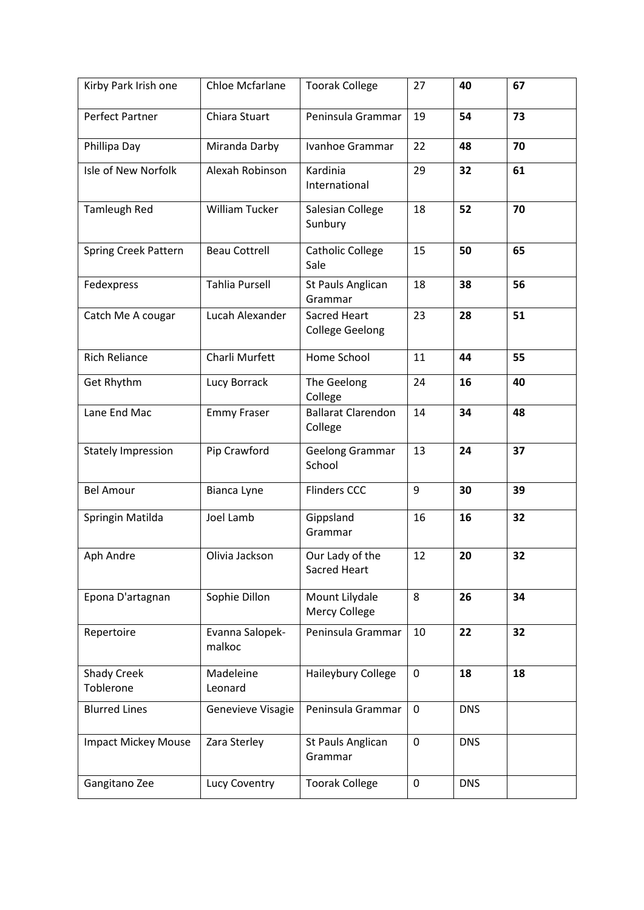| Kirby Park Irish one       | Chloe Mcfarlane           | <b>Toorak College</b>                         | 27          | 40         | 67 |
|----------------------------|---------------------------|-----------------------------------------------|-------------|------------|----|
| <b>Perfect Partner</b>     | Chiara Stuart             | Peninsula Grammar                             | 19          | 54         | 73 |
| Phillipa Day               | Miranda Darby             | Ivanhoe Grammar                               | 22          | 48         | 70 |
| Isle of New Norfolk        | Alexah Robinson           | Kardinia<br>International                     | 29          | 32         | 61 |
| <b>Tamleugh Red</b>        | <b>William Tucker</b>     | Salesian College<br>Sunbury                   | 18          | 52         | 70 |
| Spring Creek Pattern       | <b>Beau Cottrell</b>      | <b>Catholic College</b><br>Sale               | 15          | 50         | 65 |
| Fedexpress                 | <b>Tahlia Pursell</b>     | St Pauls Anglican<br>Grammar                  | 18          | 38         | 56 |
| Catch Me A cougar          | Lucah Alexander           | <b>Sacred Heart</b><br><b>College Geelong</b> | 23          | 28         | 51 |
| <b>Rich Reliance</b>       | Charli Murfett            | Home School                                   | 11          | 44         | 55 |
| Get Rhythm                 | Lucy Borrack              | The Geelong<br>College                        | 24          | 16         | 40 |
| Lane End Mac               | <b>Emmy Fraser</b>        | <b>Ballarat Clarendon</b><br>College          | 14          | 34         | 48 |
| <b>Stately Impression</b>  | Pip Crawford              | Geelong Grammar<br>School                     | 13          | 24         | 37 |
| <b>Bel Amour</b>           | Bianca Lyne               | <b>Flinders CCC</b>                           | 9           | 30         | 39 |
| Springin Matilda           | Joel Lamb                 | Gippsland<br>Grammar                          | 16          | 16         | 32 |
| Aph Andre                  | Olivia Jackson            | Our Lady of the<br>Sacred Heart               | 12          | 20         | 32 |
| Epona D'artagnan           | Sophie Dillon             | Mount Lilydale<br>Mercy College               | 8           | 26         | 34 |
| Repertoire                 | Evanna Salopek-<br>malkoc | Peninsula Grammar                             | 10          | 22         | 32 |
| Shady Creek<br>Toblerone   | Madeleine<br>Leonard      | Haileybury College                            | $\mathbf 0$ | 18         | 18 |
| <b>Blurred Lines</b>       | Genevieve Visagie         | Peninsula Grammar                             | 0           | <b>DNS</b> |    |
| <b>Impact Mickey Mouse</b> | Zara Sterley              | St Pauls Anglican<br>Grammar                  | 0           | <b>DNS</b> |    |
| Gangitano Zee              | Lucy Coventry             | <b>Toorak College</b>                         | 0           | <b>DNS</b> |    |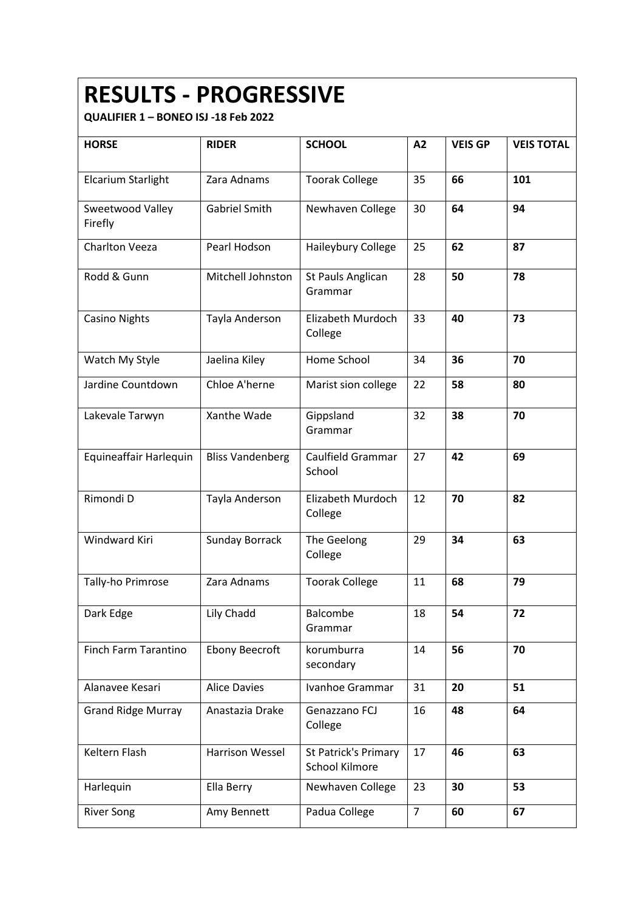### **RESULTS - PROGRESSIVE**

| <b>HORSE</b>                | <b>RIDER</b>            | <b>SCHOOL</b>                                 | A2             | <b>VEIS GP</b> | <b>VEIS TOTAL</b> |
|-----------------------------|-------------------------|-----------------------------------------------|----------------|----------------|-------------------|
| Elcarium Starlight          | Zara Adnams             | <b>Toorak College</b>                         | 35             | 66             | 101               |
| Sweetwood Valley<br>Firefly | <b>Gabriel Smith</b>    | Newhaven College                              | 30             | 64             | 94                |
| <b>Charlton Veeza</b>       | Pearl Hodson            | Haileybury College                            | 25             | 62             | 87                |
| Rodd & Gunn                 | Mitchell Johnston       | St Pauls Anglican<br>Grammar                  | 28             | 50             | 78                |
| <b>Casino Nights</b>        | Tayla Anderson          | Elizabeth Murdoch<br>College                  | 33             | 40             | 73                |
| Watch My Style              | Jaelina Kiley           | Home School                                   | 34             | 36             | 70                |
| Jardine Countdown           | Chloe A'herne           | Marist sion college                           | 22             | 58             | 80                |
| Lakevale Tarwyn             | Xanthe Wade             | Gippsland<br>Grammar                          | 32             | 38             | 70                |
| Equineaffair Harlequin      | <b>Bliss Vandenberg</b> | Caulfield Grammar<br>School                   | 27             | 42             | 69                |
| Rimondi D                   | Tayla Anderson          | Elizabeth Murdoch<br>College                  | 12             | 70             | 82                |
| Windward Kiri               | <b>Sunday Borrack</b>   | The Geelong<br>College                        | 29             | 34             | 63                |
| Tally-ho Primrose           | Zara Adnams             | <b>Toorak College</b>                         | 11             | 68             | 79                |
| Dark Edge                   | Lily Chadd              | Balcombe<br>Grammar                           | 18             | 54             | 72                |
| Finch Farm Tarantino        | <b>Ebony Beecroft</b>   | korumburra<br>secondary                       | 14             | 56             | 70                |
| Alanavee Kesari             | <b>Alice Davies</b>     | Ivanhoe Grammar                               | 31             | 20             | 51                |
| <b>Grand Ridge Murray</b>   | Anastazia Drake         | Genazzano FCJ<br>College                      | 16             | 48             | 64                |
| Keltern Flash               | <b>Harrison Wessel</b>  | <b>St Patrick's Primary</b><br>School Kilmore | 17             | 46             | 63                |
| Harlequin                   | Ella Berry              | Newhaven College                              | 23             | 30             | 53                |
| <b>River Song</b>           | Amy Bennett             | Padua College                                 | $\overline{7}$ | 60             | 67                |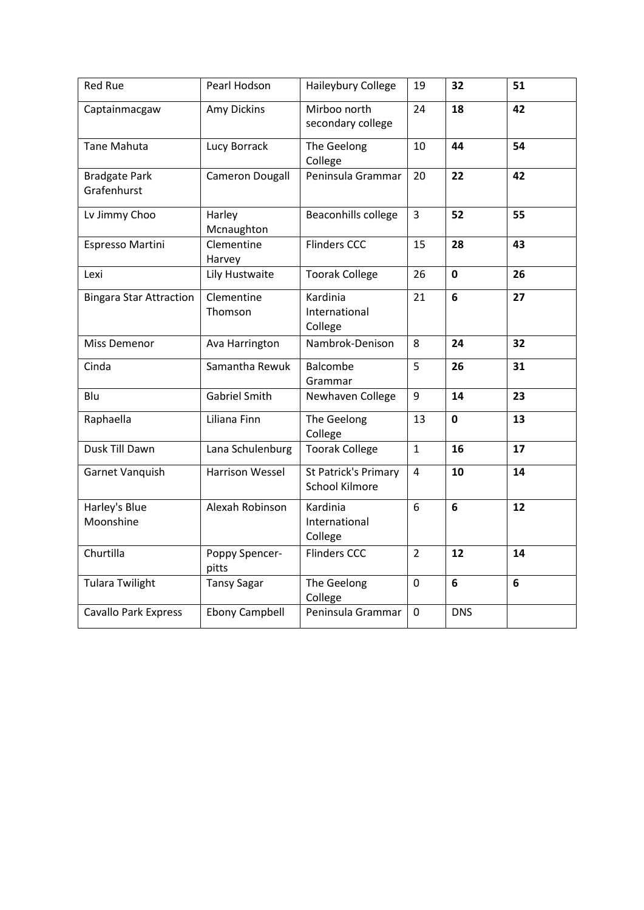| <b>Red Rue</b>                      | Pearl Hodson            | Haileybury College                                   | 19             | 32              | 51 |
|-------------------------------------|-------------------------|------------------------------------------------------|----------------|-----------------|----|
| Captainmacgaw                       | Amy Dickins             | Mirboo north<br>secondary college                    | 24             | 18              | 42 |
| <b>Tane Mahuta</b>                  | Lucy Borrack            | The Geelong<br>College                               | 10             | 44              | 54 |
| <b>Bradgate Park</b><br>Grafenhurst | <b>Cameron Dougall</b>  | Peninsula Grammar                                    | 20             | 22              | 42 |
| Lv Jimmy Choo                       | Harley<br>Mcnaughton    | Beaconhills college                                  | $\overline{3}$ | 52              | 55 |
| Espresso Martini                    | Clementine<br>Harvey    | <b>Flinders CCC</b>                                  | 15             | 28              | 43 |
| Lexi                                | Lily Hustwaite          | <b>Toorak College</b>                                | 26             | $\mathbf 0$     | 26 |
| <b>Bingara Star Attraction</b>      | Clementine<br>Thomson   | Kardinia<br>International<br>College                 | 21             | $6\phantom{1}6$ | 27 |
| <b>Miss Demenor</b>                 | Ava Harrington          | Nambrok-Denison                                      | 8              | 24              | 32 |
| Cinda                               | Samantha Rewuk          | Balcombe<br>Grammar                                  | 5              | 26              | 31 |
| Blu                                 | <b>Gabriel Smith</b>    | Newhaven College                                     | 9              | 14              | 23 |
| Raphaella                           | Liliana Finn            | The Geelong<br>College                               | 13             | $\mathbf{0}$    | 13 |
| Dusk Till Dawn                      | Lana Schulenburg        | <b>Toorak College</b>                                | $\mathbf{1}$   | 16              | 17 |
| Garnet Vanquish                     | <b>Harrison Wessel</b>  | <b>St Patrick's Primary</b><br><b>School Kilmore</b> | $\overline{4}$ | 10              | 14 |
| Harley's Blue<br>Moonshine          | Alexah Robinson         | Kardinia<br>International<br>College                 | 6              | 6               | 12 |
| Churtilla                           | Poppy Spencer-<br>pitts | <b>Flinders CCC</b>                                  | $\overline{2}$ | 12              | 14 |
| <b>Tulara Twilight</b>              | <b>Tansy Sagar</b>      | The Geelong<br>College                               | 0              | 6               | 6  |
| <b>Cavallo Park Express</b>         | <b>Ebony Campbell</b>   | Peninsula Grammar                                    | $\Omega$       | <b>DNS</b>      |    |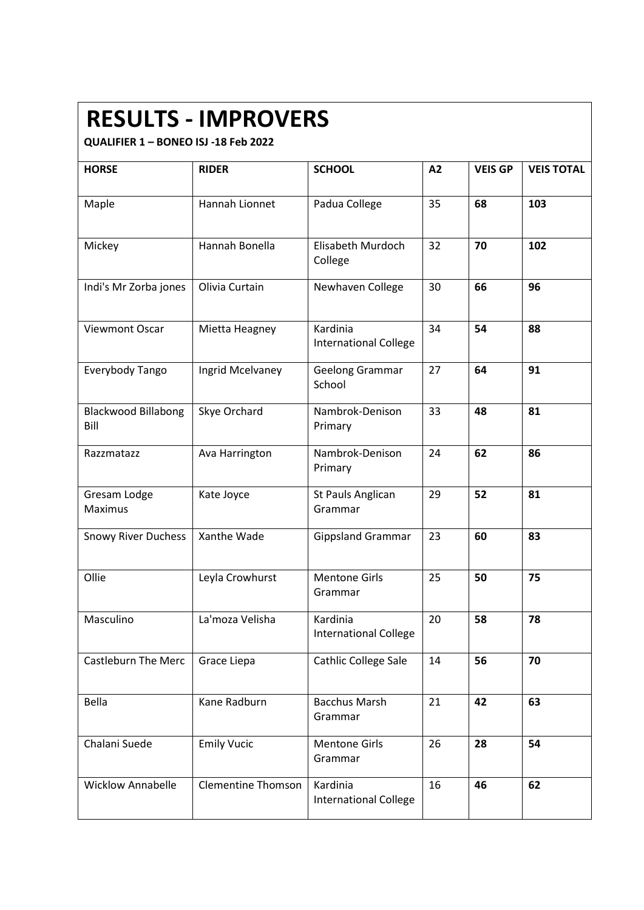### **RESULTS - IMPROVERS**

| <b>HORSE</b>                       | <b>RIDER</b>              | <b>SCHOOL</b>                            | A2 | <b>VEIS GP</b> | <b>VEIS TOTAL</b> |
|------------------------------------|---------------------------|------------------------------------------|----|----------------|-------------------|
| Maple                              | Hannah Lionnet            | Padua College                            | 35 | 68             | 103               |
| Mickey                             | Hannah Bonella            | Elisabeth Murdoch<br>College             | 32 | 70             | 102               |
| Indi's Mr Zorba jones              | Olivia Curtain            | Newhaven College                         | 30 | 66             | 96                |
| Viewmont Oscar                     | Mietta Heagney            | Kardinia<br><b>International College</b> | 34 | 54             | 88                |
| Everybody Tango                    | Ingrid Mcelvaney          | <b>Geelong Grammar</b><br>School         | 27 | 64             | 91                |
| <b>Blackwood Billabong</b><br>Bill | Skye Orchard              | Nambrok-Denison<br>Primary               | 33 | 48             | 81                |
| Razzmatazz                         | Ava Harrington            | Nambrok-Denison<br>Primary               | 24 | 62             | 86                |
| Gresam Lodge<br>Maximus            | Kate Joyce                | St Pauls Anglican<br>Grammar             | 29 | 52             | 81                |
| <b>Snowy River Duchess</b>         | Xanthe Wade               | <b>Gippsland Grammar</b>                 | 23 | 60             | 83                |
| Ollie                              | Leyla Crowhurst           | <b>Mentone Girls</b><br>Grammar          | 25 | 50             | 75                |
| Masculino                          | La'moza Velisha           | Kardinia<br><b>International College</b> | 20 | 58             | 78                |
| <b>Castleburn The Merc</b>         | Grace Liepa               | Cathlic College Sale                     | 14 | 56             | 70                |
| Bella                              | Kane Radburn              | <b>Bacchus Marsh</b><br>Grammar          | 21 | 42             | 63                |
| Chalani Suede                      | <b>Emily Vucic</b>        | <b>Mentone Girls</b><br>Grammar          | 26 | 28             | 54                |
| <b>Wicklow Annabelle</b>           | <b>Clementine Thomson</b> | Kardinia<br><b>International College</b> | 16 | 46             | 62                |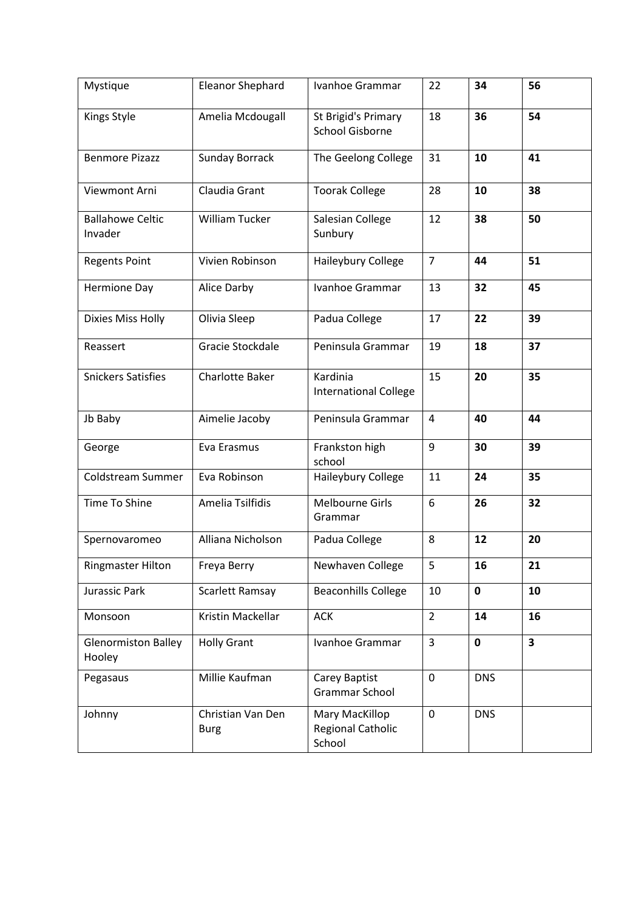| Mystique                             | <b>Eleanor Shephard</b>          | Ivanhoe Grammar                                      | 22             | 34         | 56 |
|--------------------------------------|----------------------------------|------------------------------------------------------|----------------|------------|----|
| Kings Style                          | Amelia Mcdougall                 | St Brigid's Primary<br><b>School Gisborne</b>        | 18             | 36         | 54 |
| <b>Benmore Pizazz</b>                | <b>Sunday Borrack</b>            | The Geelong College                                  | 31             | 10         | 41 |
| Viewmont Arni                        | Claudia Grant                    | <b>Toorak College</b>                                | 28             | 10         | 38 |
| <b>Ballahowe Celtic</b><br>Invader   | <b>William Tucker</b>            | Salesian College<br>Sunbury                          | 12             | 38         | 50 |
| <b>Regents Point</b>                 | Vivien Robinson                  | Haileybury College                                   | $\overline{7}$ | 44         | 51 |
| <b>Hermione Day</b>                  | Alice Darby                      | Ivanhoe Grammar                                      | 13             | 32         | 45 |
| <b>Dixies Miss Holly</b>             | Olivia Sleep                     | Padua College                                        | 17             | 22         | 39 |
| Reassert                             | Gracie Stockdale                 | Peninsula Grammar                                    | 19             | 18         | 37 |
| <b>Snickers Satisfies</b>            | <b>Charlotte Baker</b>           | Kardinia<br><b>International College</b>             | 15             | 20         | 35 |
| Jb Baby                              | Aimelie Jacoby                   | Peninsula Grammar                                    | 4              | 40         | 44 |
| George                               | Eva Erasmus                      | Frankston high<br>school                             | 9              | 30         | 39 |
| Coldstream Summer                    | Eva Robinson                     | Haileybury College                                   | 11             | 24         | 35 |
| Time To Shine                        | Amelia Tsilfidis                 | <b>Melbourne Girls</b><br>Grammar                    | 6              | 26         | 32 |
| Spernovaromeo                        | Alliana Nicholson                | Padua College                                        | 8              | 12         | 20 |
| <b>Ringmaster Hilton</b>             | Freya Berry                      | Newhaven College                                     | 5              | 16         | 21 |
| Jurassic Park                        | Scarlett Ramsay                  | <b>Beaconhills College</b>                           | 10             | 0          | 10 |
| Monsoon                              | Kristin Mackellar                | <b>ACK</b>                                           | $\overline{2}$ | 14         | 16 |
| <b>Glenormiston Balley</b><br>Hooley | <b>Holly Grant</b>               | Ivanhoe Grammar                                      | 3              | 0          | 3  |
| Pegasaus                             | Millie Kaufman                   | Carey Baptist<br>Grammar School                      | 0              | <b>DNS</b> |    |
| Johnny                               | Christian Van Den<br><b>Burg</b> | Mary MacKillop<br><b>Regional Catholic</b><br>School | 0              | <b>DNS</b> |    |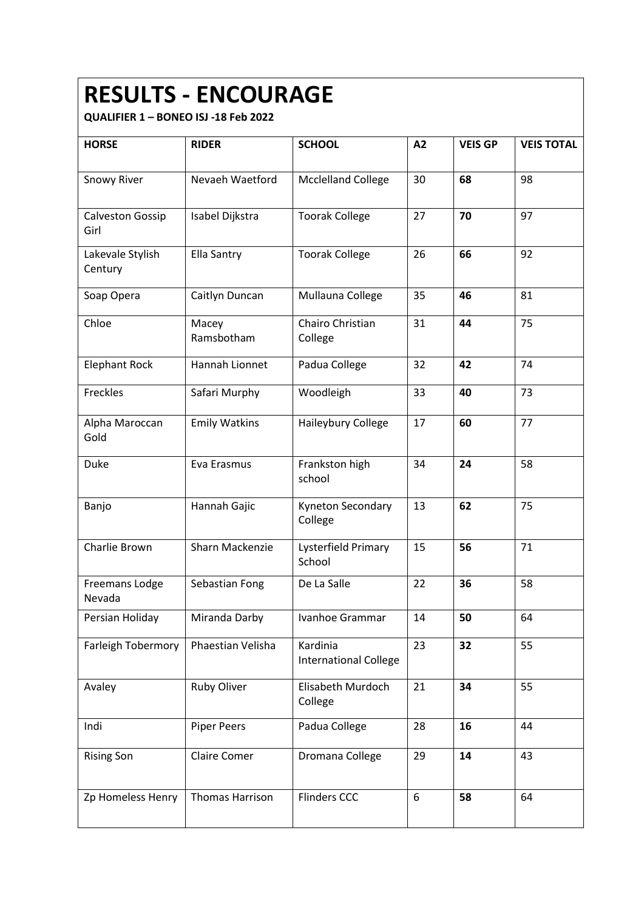# **RESULTS - ENCOURAGE**

| <b>HORSE</b>                    | <b>RIDER</b>         | <b>SCHOOL</b>                            | A2 | <b>VEIS GP</b> | <b>VEIS TOTAL</b> |
|---------------------------------|----------------------|------------------------------------------|----|----------------|-------------------|
|                                 |                      |                                          |    |                |                   |
| <b>Snowy River</b>              | Nevaeh Waetford      | <b>Mcclelland College</b>                | 30 | 68             | 98                |
| <b>Calveston Gossip</b><br>Girl | Isabel Dijkstra      | <b>Toorak College</b>                    | 27 | 70             | 97                |
| Lakevale Stylish<br>Century     | Ella Santry          | <b>Toorak College</b>                    | 26 | 66             | 92                |
| Soap Opera                      | Caitlyn Duncan       | Mullauna College                         | 35 | 46             | 81                |
| Chloe                           | Macey<br>Ramsbotham  | Chairo Christian<br>College              | 31 | 44             | 75                |
| <b>Elephant Rock</b>            | Hannah Lionnet       | Padua College                            | 32 | 42             | 74                |
| Freckles                        | Safari Murphy        | Woodleigh                                | 33 | 40             | 73                |
| Alpha Maroccan<br>Gold          | <b>Emily Watkins</b> | Haileybury College                       | 17 | 60             | 77                |
| Duke                            | Eva Erasmus          | Frankston high<br>school                 | 34 | 24             | 58                |
| Banjo                           | Hannah Gajic         | Kyneton Secondary<br>College             | 13 | 62             | 75                |
| Charlie Brown                   | Sharn Mackenzie      | Lysterfield Primary<br>School            | 15 | 56             | 71                |
| Freemans Lodge<br>Nevada        | Sebastian Fong       | De La Salle                              | 22 | 36             | 58                |
| Persian Holiday                 | Miranda Darby        | Ivanhoe Grammar                          | 14 | 50             | 64                |
| <b>Farleigh Tobermory</b>       | Phaestian Velisha    | Kardinia<br><b>International College</b> | 23 | 32             | 55                |
| Avaley                          | Ruby Oliver          | Elisabeth Murdoch<br>College             | 21 | 34             | 55                |
| Indi                            | Piper Peers          | Padua College                            | 28 | 16             | 44                |
| <b>Rising Son</b>               | Claire Comer         | Dromana College                          | 29 | 14             | 43                |
| Zp Homeless Henry               | Thomas Harrison      | <b>Flinders CCC</b>                      | 6  | 58             | 64                |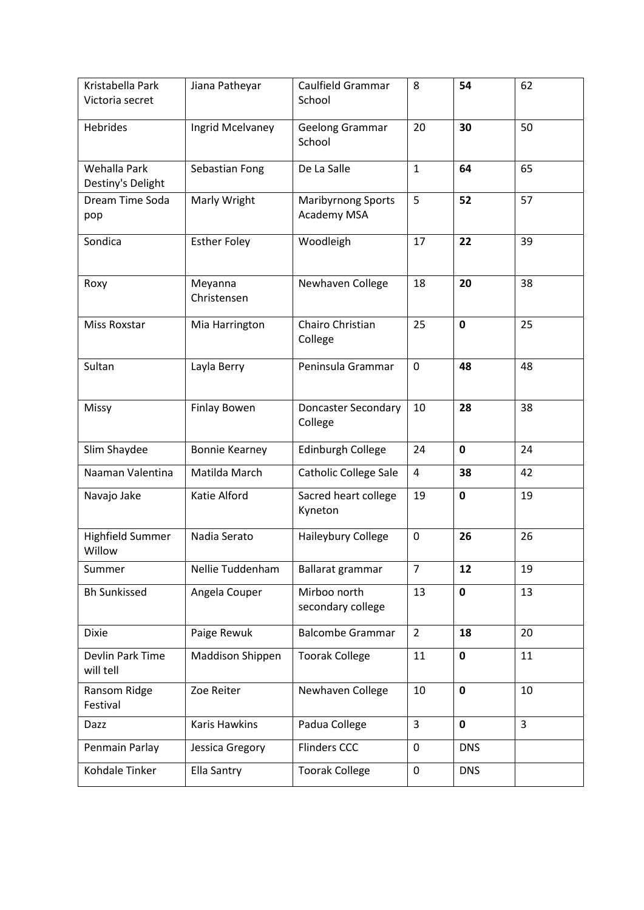| Kristabella Park                  | Jiana Patheyar         | Caulfield Grammar                        | 8              | 54          | 62             |
|-----------------------------------|------------------------|------------------------------------------|----------------|-------------|----------------|
| Victoria secret                   |                        | School                                   |                |             |                |
| Hebrides                          | Ingrid Mcelvaney       | Geelong Grammar                          | 20             | 30          | 50             |
|                                   |                        | School                                   |                |             |                |
| Wehalla Park                      | Sebastian Fong         | De La Salle                              | $\mathbf{1}$   | 64          | 65             |
| Destiny's Delight                 |                        |                                          |                |             |                |
| Dream Time Soda<br>pop            | Marly Wright           | <b>Maribyrnong Sports</b><br>Academy MSA | 5              | 52          | 57             |
| Sondica                           | <b>Esther Foley</b>    | Woodleigh                                | 17             | 22          | 39             |
| Roxy                              | Meyanna<br>Christensen | Newhaven College                         | 18             | 20          | 38             |
| <b>Miss Roxstar</b>               | Mia Harrington         | Chairo Christian<br>College              | 25             | $\mathbf 0$ | 25             |
| Sultan                            | Layla Berry            | Peninsula Grammar                        | $\mathbf 0$    | 48          | 48             |
| Missy                             | <b>Finlay Bowen</b>    | <b>Doncaster Secondary</b><br>College    | 10             | 28          | 38             |
| Slim Shaydee                      | <b>Bonnie Kearney</b>  | Edinburgh College                        | 24             | $\mathbf 0$ | 24             |
| Naaman Valentina                  | Matilda March          | <b>Catholic College Sale</b>             | 4              | 38          | 42             |
| Navajo Jake                       | Katie Alford           | Sacred heart college<br>Kyneton          | 19             | $\mathbf 0$ | 19             |
| <b>Highfield Summer</b><br>Willow | Nadia Serato           | Haileybury College                       | $\mathbf 0$    | 26          | 26             |
| Summer                            | Nellie Tuddenham       | Ballarat grammar                         | 7              | 12          | 19             |
| <b>Bh Sunkissed</b>               | Angela Couper          | Mirboo north<br>secondary college        | 13             | $\mathbf 0$ | 13             |
| <b>Dixie</b>                      | Paige Rewuk            | <b>Balcombe Grammar</b>                  | $\overline{2}$ | 18          | 20             |
| Devlin Park Time<br>will tell     | Maddison Shippen       | <b>Toorak College</b>                    | 11             | $\mathbf 0$ | 11             |
| Ransom Ridge<br>Festival          | Zoe Reiter             | Newhaven College                         | 10             | $\mathbf 0$ | 10             |
| Dazz                              | <b>Karis Hawkins</b>   | Padua College                            | $\overline{3}$ | $\mathbf 0$ | $\overline{3}$ |
| Penmain Parlay                    | Jessica Gregory        | <b>Flinders CCC</b>                      | 0              | <b>DNS</b>  |                |
| Kohdale Tinker                    | Ella Santry            | <b>Toorak College</b>                    | $\mathbf 0$    | <b>DNS</b>  |                |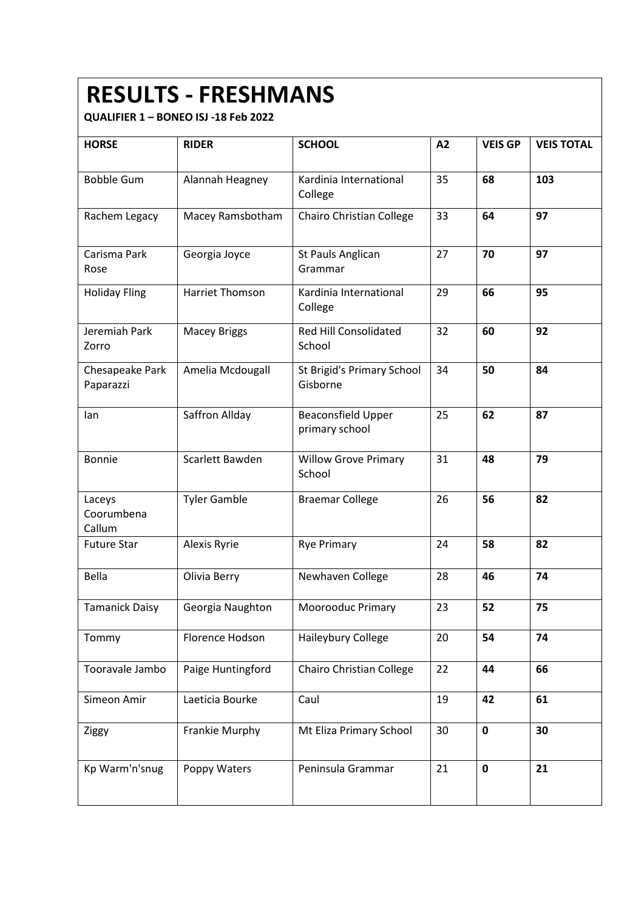## **RESULTS - FRESHMANS**

| <b>HORSE</b>                   | <b>RIDER</b>        | <b>SCHOOL</b>                               | A2 | <b>VEIS GP</b> | <b>VEIS TOTAL</b> |
|--------------------------------|---------------------|---------------------------------------------|----|----------------|-------------------|
| <b>Bobble Gum</b>              | Alannah Heagney     | Kardinia International<br>College           | 35 | 68             | 103               |
| Rachem Legacy                  | Macey Ramsbotham    | Chairo Christian College                    | 33 | 64             | 97                |
| Carisma Park<br>Rose           | Georgia Joyce       | St Pauls Anglican<br>Grammar                | 27 | 70             | 97                |
| <b>Holiday Fling</b>           | Harriet Thomson     | Kardinia International<br>College           | 29 | 66             | 95                |
| Jeremiah Park<br>Zorro         | <b>Macey Briggs</b> | Red Hill Consolidated<br>School             | 32 | 60             | 92                |
| Chesapeake Park<br>Paparazzi   | Amelia Mcdougall    | St Brigid's Primary School<br>Gisborne      | 34 | 50             | 84                |
| lan                            | Saffron Allday      | <b>Beaconsfield Upper</b><br>primary school | 25 | 62             | 87                |
| <b>Bonnie</b>                  | Scarlett Bawden     | <b>Willow Grove Primary</b><br>School       | 31 | 48             | 79                |
| Laceys<br>Coorumbena<br>Callum | <b>Tyler Gamble</b> | <b>Braemar College</b>                      | 26 | 56             | 82                |
| <b>Future Star</b>             | Alexis Ryrie        | <b>Rye Primary</b>                          | 24 | 58             | 82                |
| Bella                          | Olivia Berry        | Newhaven College                            | 28 | 46             | 74                |
| <b>Tamanick Daisy</b>          | Georgia Naughton    | Moorooduc Primary                           | 23 | 52             | 75                |
| Tommy                          | Florence Hodson     | Haileybury College                          | 20 | 54             | 74                |
| Tooravale Jambo                | Paige Huntingford   | Chairo Christian College                    | 22 | 44             | 66                |
| Simeon Amir                    | Laeticia Bourke     | Caul                                        | 19 | 42             | 61                |
| Ziggy                          | Frankie Murphy      | Mt Eliza Primary School                     | 30 | 0              | 30                |
| Kp Warm'n'snug                 | Poppy Waters        | Peninsula Grammar                           | 21 | 0              | 21                |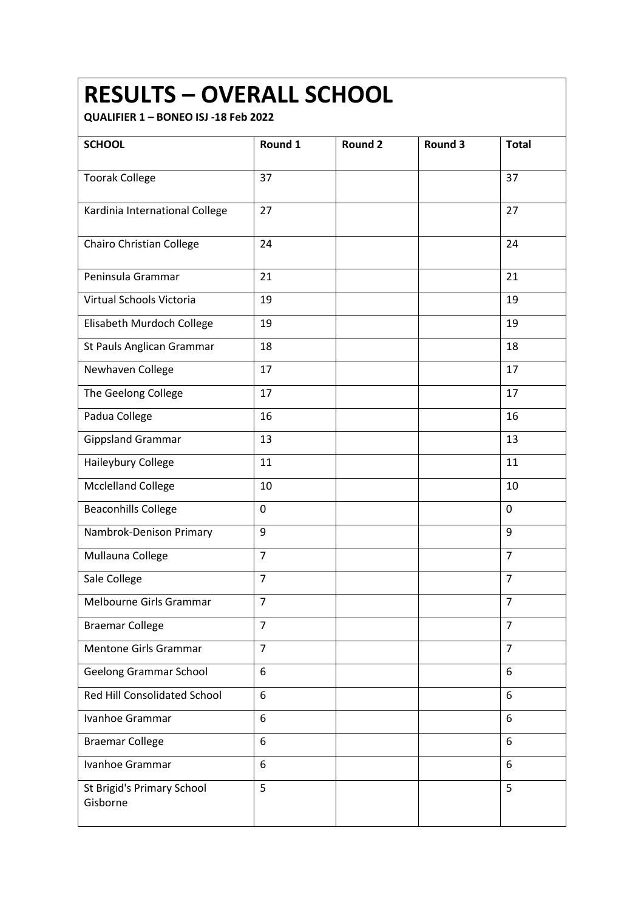#### **RESULTS – OVERALL SCHOOL**

| <b>SCHOOL</b>                          | Round 1        | <b>Round 2</b> | Round 3 | <b>Total</b>   |
|----------------------------------------|----------------|----------------|---------|----------------|
|                                        |                |                |         |                |
| <b>Toorak College</b>                  | 37             |                |         | 37             |
| Kardinia International College         | 27             |                |         | 27             |
| Chairo Christian College               | 24             |                |         | 24             |
| Peninsula Grammar                      | 21             |                |         | 21             |
| Virtual Schools Victoria               | 19             |                |         | 19             |
| Elisabeth Murdoch College              | 19             |                |         | 19             |
| St Pauls Anglican Grammar              | 18             |                |         | 18             |
| Newhaven College                       | 17             |                |         | 17             |
| The Geelong College                    | 17             |                |         | 17             |
| Padua College                          | 16             |                |         | 16             |
| <b>Gippsland Grammar</b>               | 13             |                |         | 13             |
| Haileybury College                     | 11             |                |         | 11             |
| <b>Mcclelland College</b>              | 10             |                |         | 10             |
| <b>Beaconhills College</b>             | 0              |                |         | 0              |
| Nambrok-Denison Primary                | 9              |                |         | 9              |
| Mullauna College                       | $\overline{7}$ |                |         | $\overline{7}$ |
| Sale College                           | $\overline{7}$ |                |         | $\overline{7}$ |
| Melbourne Girls Grammar                | $\overline{7}$ |                |         | $\overline{7}$ |
| <b>Braemar College</b>                 | $\overline{7}$ |                |         | $\overline{7}$ |
| <b>Mentone Girls Grammar</b>           | $\overline{7}$ |                |         | $\overline{7}$ |
| <b>Geelong Grammar School</b>          | 6              |                |         | 6              |
| <b>Red Hill Consolidated School</b>    | 6              |                |         | 6              |
| Ivanhoe Grammar                        | 6              |                |         | 6              |
| <b>Braemar College</b>                 | 6              |                |         | 6              |
| Ivanhoe Grammar                        | 6              |                |         | 6              |
| St Brigid's Primary School<br>Gisborne | 5              |                |         | 5              |